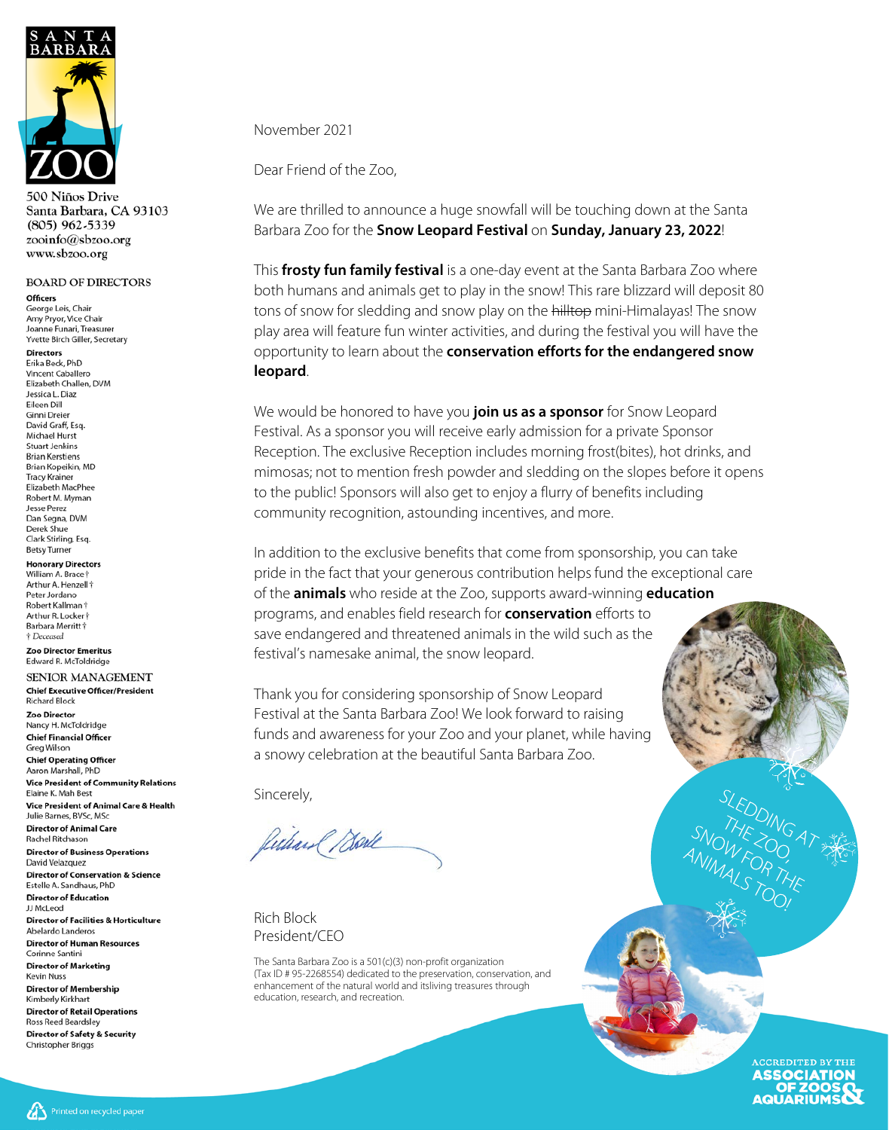

Miños Drive Santa Barbara, CA 93103 (805) 962-5339 zooinfo@sbzoo.org www.sbzoo.org

#### **BOARD OF DIRECTORS**

**Officers** George Leis, Chair Amy Pryor, Vice Chair Joanne Funari, Treasurer Yvette Birch Giller, Secretary

**Directors** Erika Beck, PhD Vincent Caballero Elizabeth Challen, DVM Jessica L. Diaz Eileen Dill **Ginni Dreier** David Graff, Esq. Michael Hurst **Stuart Jenkins Brian Kerstiens** Brian Kopeikin, MD **Tracy Krainer** Elizabeth MacPhee Robert M. Myman Jesse Perez Dan Segna, DVM Derek Shue Clark Stirling, Esg. **Betsy Turner** 

**Honorary Directors** William A. Brace Arthur A. Henzell + Peter Jordano Robert Kallman † Arthur R. Locker<sup>+</sup> Barbara Merritt † † Deceased

**Zoo Director Emeritus** Edward R. McToldridge

SENIOR MANAGEMENT **Chief Executive Officer/President Richard Block** Zoo Director

Nancy H. McToldridge **Chief Financial Officer** Greg Wilson

**Chief Operating Officer** Aaron Marshall, PhD **Vice President of Community Relations** Elaine K. Mah Best Vice President of Animal Care & Health Julie Barnes, BVSc, MSc

**Director of Animal Care** Rachel Ritchason **Director of Business Operations** 

David Velazquez **Director of Conservation & Science** Estelle A. Sandhaus, PhD

**Director of Education** JJ McLeod **Director of Facilities & Horticulture** Abelardo Landeros **Director of Human Resources** Corinne Santini **Director of Marketing Kevin Nuss Director of Membership** Kimberly Kirkhart **Director of Retail Operations Ross Reed Beardsley** 

**Director of Safety & Security** Christopher Briggs

November 2021

Dear Friend of the Zoo,

We are thrilled to announce a huge snowfall will be touching down at the Santa Barbara Zoo for the **Snow Leopard Festival** on **Sunday, January 23, 2022**!

This **frosty fun family festival** is a one-day event at the Santa Barbara Zoo where both humans and animals get to play in the snow! This rare blizzard will deposit 80 tons of snow for sledding and snow play on the hilltop mini-Himalayas! The snow play area will feature fun winter activities, and during the festival you will have the opportunity to learn about the **conservation efforts for the endangered snow leopard**.

We would be honored to have you **join us as a sponsor** for Snow Leopard Festival. As a sponsor you will receive early admission for a private Sponsor Reception. The exclusive Reception includes morning frost(bites), hot drinks, and mimosas; not to mention fresh powder and sledding on the slopes before it opens to the public! Sponsors will also get to enjoy a flurry of benefits including community recognition, astounding incentives, and more.

In addition to the exclusive benefits that come from sponsorship, you can take pride in the fact that your generous contribution helps fund the exceptional care of the **animals** who reside at the Zoo, supports award-winning **education** programs, and enables field research for **conservation** efforts to save endangered and threatened animals in the wild such as the festival's namesake animal, the snow leopard.

Thank you for considering sponsorship of Snow Leopard Festival at the Santa Barbara Zoo! We look forward to raising funds and awareness for your Zoo and your planet, while having a snowy celebration at the beautiful Santa Barbara Zoo.

Sincerely,

futurel Bark

Rich Block President/CEO

The Santa Barbara Zoo is a 501(c)(3) non-profit organization (Tax ID # 95-2268554) dedicated to the preservation, conservation, and enhancement of the natural world and itsliving treasures through education, research, and recreation.

> ACCREDITED BY THE **ASSOCIATION** OF ZOOS **AQUARIUMS**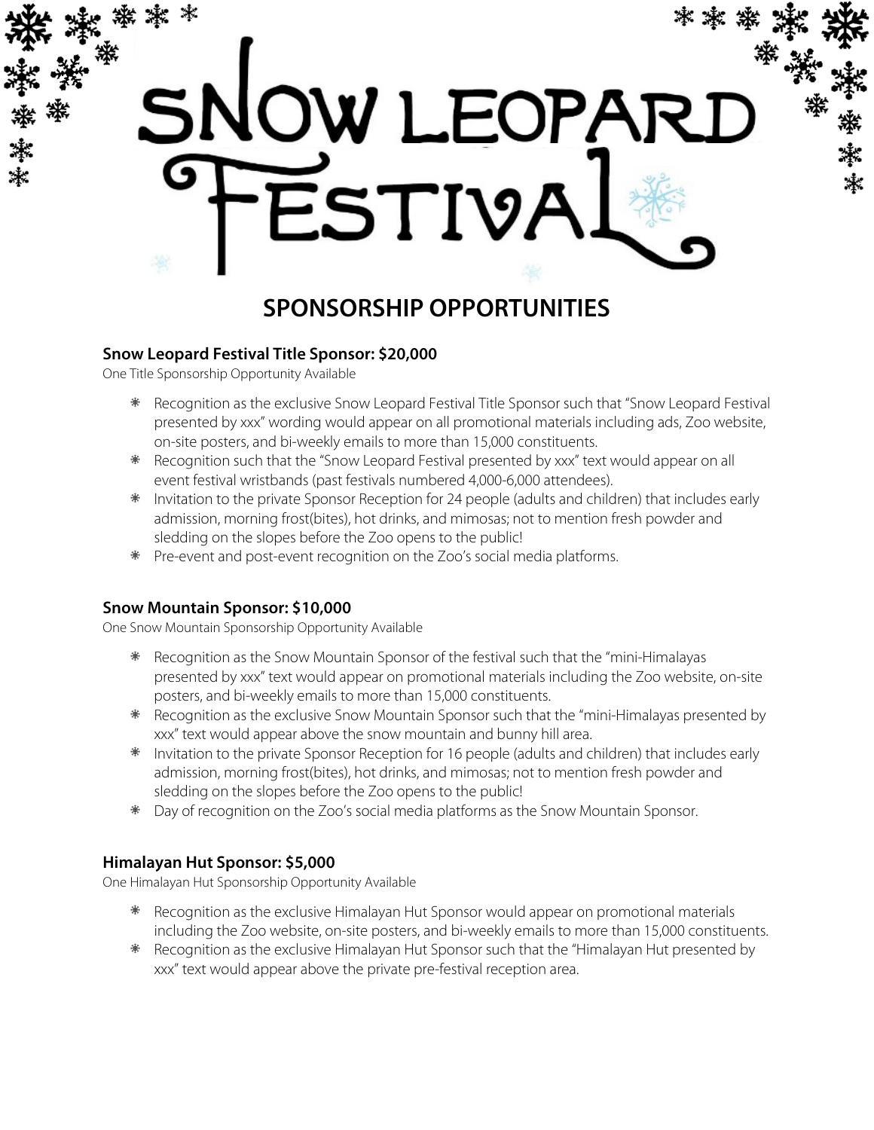

## **SPONSORSHIP OPPORTUNITIES**

#### **Snow Leopard Festival Title Sponsor: \$20,000**

One Title Sponsorship Opportunity Available

- Recognition as the exclusive Snow Leopard Festival Title Sponsor such that "Snow Leopard Festival presented by xxx" wording would appear on all promotional materials including ads, Zoo website, on-site posters, and bi-weekly emails to more than 15,000 constituents.
- \* Recognition such that the "Snow Leopard Festival presented by xxx" text would appear on all event festival wristbands (past festivals numbered 4,000-6,000 attendees).
- $*$  Invitation to the private Sponsor Reception for 24 people (adults and children) that includes early admission, morning frost(bites), hot drinks, and mimosas; not to mention fresh powder and sledding on the slopes before the Zoo opens to the public!
- Pre-event and post-event recognition on the Zoo's social media platforms.

#### **Snow Mountain Sponsor: \$10,000**

One Snow Mountain Sponsorship Opportunity Available

- $*$  Recognition as the Snow Mountain Sponsor of the festival such that the "mini-Himalayas" presented by xxx" text would appear on promotional materials including the Zoo website, on-site posters, and bi-weekly emails to more than 15,000 constituents.
- $*$  Recognition as the exclusive Snow Mountain Sponsor such that the "mini-Himalayas presented by xxx" text would appear above the snow mountain and bunny hill area.
- \* Invitation to the private Sponsor Reception for 16 people (adults and children) that includes early admission, morning frost(bites), hot drinks, and mimosas; not to mention fresh powder and sledding on the slopes before the Zoo opens to the public!
- Day of recognition on the Zoo's social media platforms as the Snow Mountain Sponsor.

#### **Himalayan Hut Sponsor: \$5,000**

One Himalayan Hut Sponsorship Opportunity Available

- $*$  Recognition as the exclusive Himalayan Hut Sponsor would appear on promotional materials including the Zoo website, on-site posters, and bi-weekly emails to more than 15,000 constituents.
- $*$  Recognition as the exclusive Himalayan Hut Sponsor such that the "Himalayan Hut presented by xxx" text would appear above the private pre-festival reception area.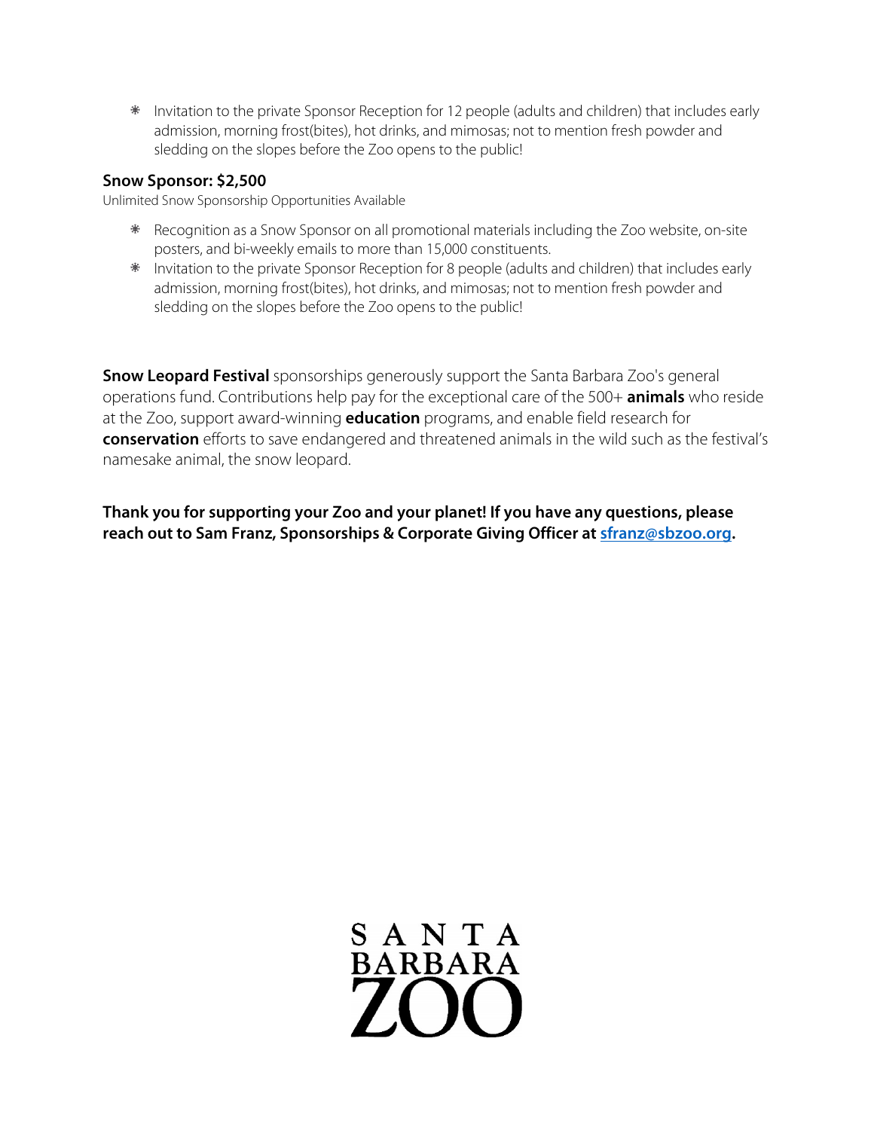$*$  Invitation to the private Sponsor Reception for 12 people (adults and children) that includes early admission, morning frost(bites), hot drinks, and mimosas; not to mention fresh powder and sledding on the slopes before the Zoo opens to the public!

#### **Snow Sponsor: \$2,500**

Unlimited Snow Sponsorship Opportunities Available

- $*$  Recognition as a Snow Sponsor on all promotional materials including the Zoo website, on-site posters, and bi-weekly emails to more than 15,000 constituents.
- $*$  Invitation to the private Sponsor Reception for 8 people (adults and children) that includes early admission, morning frost(bites), hot drinks, and mimosas; not to mention fresh powder and sledding on the slopes before the Zoo opens to the public!

**Snow Leopard Festival** sponsorships generously support the Santa Barbara Zoo's general operations fund. Contributions help pay for the exceptional care of the 500+ **animals** who reside at the Zoo, support award-winning **education** programs, and enable field research for **conservation** efforts to save endangered and threatened animals in the wild such as the festival's namesake animal, the snow leopard.

**Thank you for supporting your Zoo and your planet! If you have any questions, please reach out to Sam Franz, Sponsorships & Corporate Giving Officer a[t sfranz@sbzoo.org.](mailto:sfranz@sbzoo.org)** 

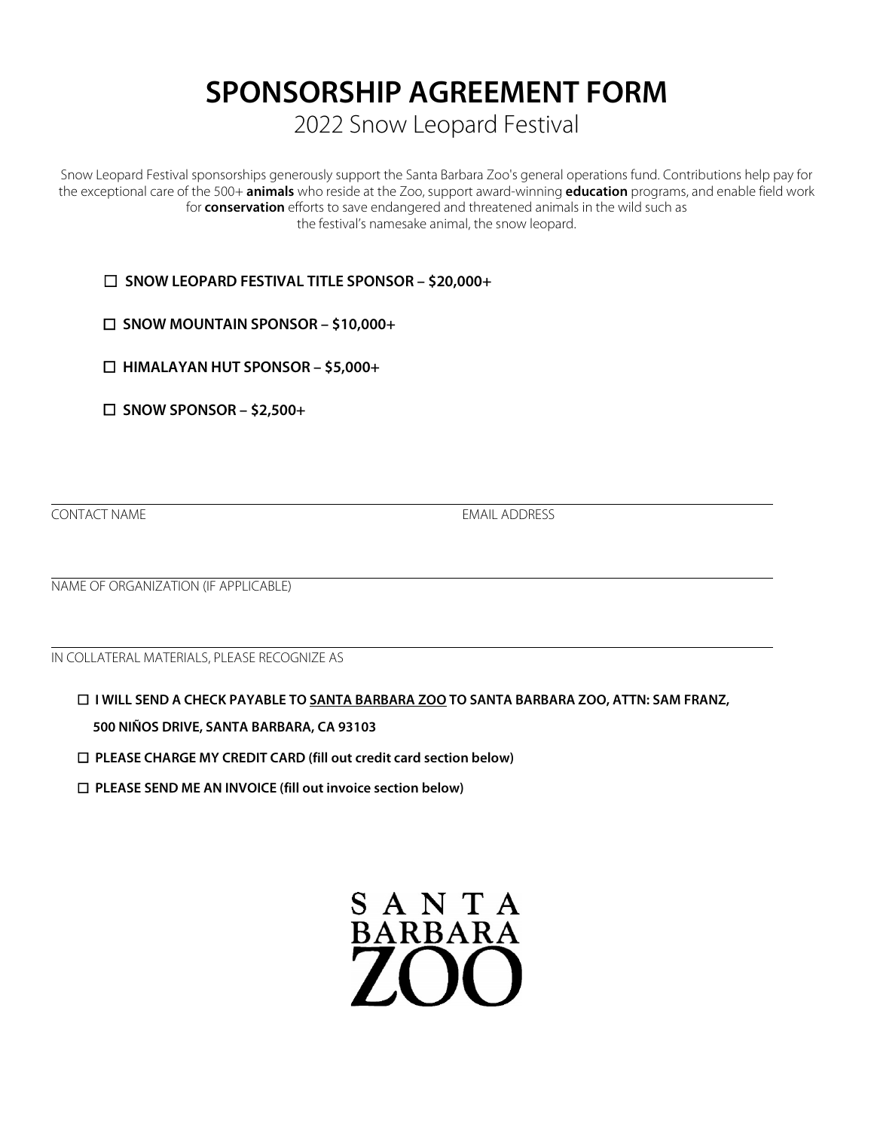# **SPONSORSHIP AGREEMENT FORM**

2022 Snow Leopard Festival

Snow Leopard Festival sponsorships generously support the Santa Barbara Zoo's general operations fund. Contributions help pay for the exceptional care of the 500+ **animals** who reside at the Zoo, support award-winning **education** programs, and enable field work for **conservation** efforts to save endangered and threatened animals in the wild such as the festival's namesake animal, the snow leopard.

☐ **SNOW LEOPARD FESTIVAL TITLE SPONSOR – \$20,000+**

☐ **SNOW MOUNTAIN SPONSOR – \$10,000+**

☐ **HIMALAYAN HUT SPONSOR – \$5,000+**

☐ **SNOW SPONSOR – \$2,500+**

**CONTACT NAME** EMAIL ADDRESS

NAME OF ORGANIZATION (IF APPLICABLE)

IN COLLATERAL MATERIALS, PLEASE RECOGNIZE AS

☐ **I WILL SEND A CHECK PAYABLE TO SANTA BARBARA ZOO TO SANTA BARBARA ZOO, ATTN: SAM FRANZ,** 

**500 NIÑOS DRIVE, SANTA BARBARA, CA 93103**

☐ **PLEASE CHARGE MY CREDIT CARD (fill out credit card section below)**

☐ **PLEASE SEND ME AN INVOICE (fill out invoice section below)**